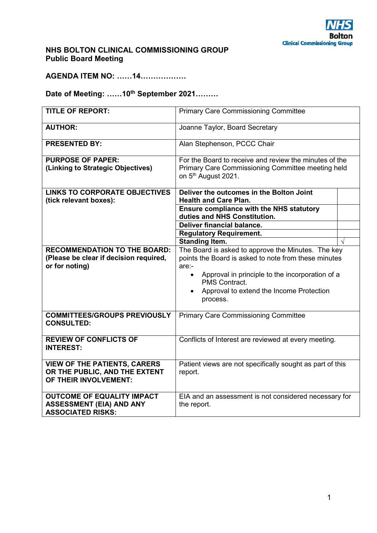## **NHS BOLTON CLINICAL COMMISSIONING GROUP Public Board Meeting**

**AGENDA ITEM NO: ……14………………** 

# **Date of Meeting: ……10th September 2021………**

| <b>TITLE OF REPORT:</b>                                                                          | <b>Primary Care Commissioning Committee</b>                                                                                                                                                                                                                               |  |
|--------------------------------------------------------------------------------------------------|---------------------------------------------------------------------------------------------------------------------------------------------------------------------------------------------------------------------------------------------------------------------------|--|
| <b>AUTHOR:</b>                                                                                   | Joanne Taylor, Board Secretary                                                                                                                                                                                                                                            |  |
| <b>PRESENTED BY:</b>                                                                             | Alan Stephenson, PCCC Chair                                                                                                                                                                                                                                               |  |
| <b>PURPOSE OF PAPER:</b><br>(Linking to Strategic Objectives)                                    | For the Board to receive and review the minutes of the<br>Primary Care Commissioning Committee meeting held<br>on 5 <sup>th</sup> August 2021.                                                                                                                            |  |
| <b>LINKS TO CORPORATE OBJECTIVES</b><br>(tick relevant boxes):                                   | Deliver the outcomes in the Bolton Joint<br><b>Health and Care Plan.</b>                                                                                                                                                                                                  |  |
|                                                                                                  | <b>Ensure compliance with the NHS statutory</b><br>duties and NHS Constitution.                                                                                                                                                                                           |  |
|                                                                                                  | <b>Deliver financial balance.</b>                                                                                                                                                                                                                                         |  |
|                                                                                                  | <b>Regulatory Requirement.</b>                                                                                                                                                                                                                                            |  |
|                                                                                                  | <b>Standing Item.</b>                                                                                                                                                                                                                                                     |  |
| <b>RECOMMENDATION TO THE BOARD:</b><br>(Please be clear if decision required,<br>or for noting)  | The Board is asked to approve the Minutes. The key<br>points the Board is asked to note from these minutes<br>are:-<br>Approval in principle to the incorporation of a<br>$\bullet$<br>PMS Contract.<br>Approval to extend the Income Protection<br>$\bullet$<br>process. |  |
| <b>COMMITTEES/GROUPS PREVIOUSLY</b><br><b>CONSULTED:</b>                                         | <b>Primary Care Commissioning Committee</b>                                                                                                                                                                                                                               |  |
| <b>REVIEW OF CONFLICTS OF</b><br><b>INTEREST:</b>                                                | Conflicts of Interest are reviewed at every meeting.                                                                                                                                                                                                                      |  |
| <b>VIEW OF THE PATIENTS, CARERS</b><br>OR THE PUBLIC, AND THE EXTENT<br>OF THEIR INVOLVEMENT:    | Patient views are not specifically sought as part of this<br>report.                                                                                                                                                                                                      |  |
| <b>OUTCOME OF EQUALITY IMPACT</b><br><b>ASSESSMENT (EIA) AND ANY</b><br><b>ASSOCIATED RISKS:</b> | EIA and an assessment is not considered necessary for<br>the report.                                                                                                                                                                                                      |  |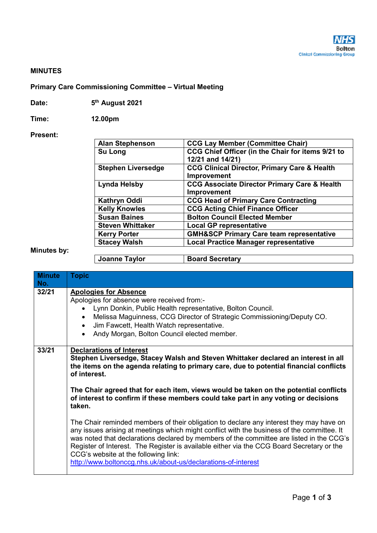#### **MINUTES**

## **Primary Care Commissioning Committee – Virtual Meeting**

| Date: | 5 <sup>th</sup> August 2021 |
|-------|-----------------------------|
|-------|-----------------------------|

**Time: 12.00pm** 

#### **Present:**

| <b>Alan Stephenson</b>    | <b>CCG Lay Member (Committee Chair)</b>                 |
|---------------------------|---------------------------------------------------------|
| Su Long                   | CCG Chief Officer (in the Chair for items 9/21 to       |
|                           | 12/21 and 14/21)                                        |
| <b>Stephen Liversedge</b> | <b>CCG Clinical Director, Primary Care &amp; Health</b> |
|                           | Improvement                                             |
| <b>Lynda Helsby</b>       | <b>CCG Associate Director Primary Care &amp; Health</b> |
|                           | Improvement                                             |
| <b>Kathryn Oddi</b>       | <b>CCG Head of Primary Care Contracting</b>             |
| <b>Kelly Knowles</b>      | <b>CCG Acting Chief Finance Officer</b>                 |
| <b>Susan Baines</b>       | <b>Bolton Council Elected Member</b>                    |
| <b>Steven Whittaker</b>   | <b>Local GP representative</b>                          |
| <b>Kerry Porter</b>       | <b>GMH&amp;SCP Primary Care team representative</b>     |
| <b>Stacey Walsh</b>       | <b>Local Practice Manager representative</b>            |
|                           |                                                         |
| <b>Joanne Taylor</b>      | <b>Board Secretary</b>                                  |

## **Minutes by:**

| <b>Minute</b><br>No. | <b>Topic</b>                                                                                                                                                                                                                                                                                                                                                                                                                                                                            |  |
|----------------------|-----------------------------------------------------------------------------------------------------------------------------------------------------------------------------------------------------------------------------------------------------------------------------------------------------------------------------------------------------------------------------------------------------------------------------------------------------------------------------------------|--|
| 32/21                | <b>Apologies for Absence</b><br>Apologies for absence were received from:-<br>Lynn Donkin, Public Health representative, Bolton Council.<br>$\bullet$<br>Melissa Maguinness, CCG Director of Strategic Commissioning/Deputy CO.<br>Jim Fawcett, Health Watch representative.<br>$\bullet$<br>Andy Morgan, Bolton Council elected member.                                                                                                                                                |  |
| 33/21                | <b>Declarations of Interest</b><br>Stephen Liversedge, Stacey Walsh and Steven Whittaker declared an interest in all<br>the items on the agenda relating to primary care, due to potential financial conflicts<br>of interest.<br>The Chair agreed that for each item, views would be taken on the potential conflicts<br>of interest to confirm if these members could take part in any voting or decisions<br>taken.                                                                  |  |
|                      | The Chair reminded members of their obligation to declare any interest they may have on<br>any issues arising at meetings which might conflict with the business of the committee. It<br>was noted that declarations declared by members of the committee are listed in the CCG's<br>Register of Interest. The Register is available either via the CCG Board Secretary or the<br>CCG's website at the following link:<br>http://www.boltonccg.nhs.uk/about-us/declarations-of-interest |  |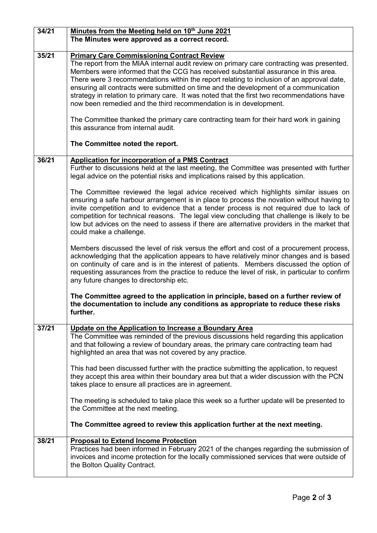| 34/21 | Minutes from the Meeting held on 10th June 2021<br>The Minutes were approved as a correct record.                                                                                                                                                                                                                                                                                                                                                                                                                                                                                             |
|-------|-----------------------------------------------------------------------------------------------------------------------------------------------------------------------------------------------------------------------------------------------------------------------------------------------------------------------------------------------------------------------------------------------------------------------------------------------------------------------------------------------------------------------------------------------------------------------------------------------|
| 35/21 | <b>Primary Care Commissioning Contract Review</b><br>The report from the MIAA internal audit review on primary care contracting was presented.<br>Members were informed that the CCG has received substantial assurance in this area.<br>There were 3 recommendations within the report relating to inclusion of an approval date,<br>ensuring all contracts were submitted on time and the development of a communication<br>strategy in relation to primary care. It was noted that the first two recommendations have<br>now been remedied and the third recommendation is in development. |
|       | The Committee thanked the primary care contracting team for their hard work in gaining<br>this assurance from internal audit.                                                                                                                                                                                                                                                                                                                                                                                                                                                                 |
|       | The Committee noted the report.                                                                                                                                                                                                                                                                                                                                                                                                                                                                                                                                                               |
| 36/21 | <b>Application for incorporation of a PMS Contract</b><br>Further to discussions held at the last meeting, the Committee was presented with further<br>legal advice on the potential risks and implications raised by this application.                                                                                                                                                                                                                                                                                                                                                       |
|       | The Committee reviewed the legal advice received which highlights similar issues on<br>ensuring a safe harbour arrangement is in place to process the novation without having to<br>invite competition and to evidence that a tender process is not required due to lack of<br>competition for technical reasons. The legal view concluding that challenge is likely to be<br>low but advices on the need to assess if there are alternative providers in the market that<br>could make a challenge.                                                                                          |
|       | Members discussed the level of risk versus the effort and cost of a procurement process,<br>acknowledging that the application appears to have relatively minor changes and is based<br>on continuity of care and is in the interest of patients. Members discussed the option of<br>requesting assurances from the practice to reduce the level of risk, in particular to confirm<br>any future changes to directorship etc.                                                                                                                                                                 |
|       | The Committee agreed to the application in principle, based on a further review of<br>the documentation to include any conditions as appropriate to reduce these risks<br>further.                                                                                                                                                                                                                                                                                                                                                                                                            |
| 37/21 | Update on the Application to Increase a Boundary Area<br>The Committee was reminded of the previous discussions held regarding this application<br>and that following a review of boundary areas, the primary care contracting team had<br>highlighted an area that was not covered by any practice.                                                                                                                                                                                                                                                                                          |
|       | This had been discussed further with the practice submitting the application, to request<br>they accept this area within their boundary area but that a wider discussion with the PCN<br>takes place to ensure all practices are in agreement.                                                                                                                                                                                                                                                                                                                                                |
|       | The meeting is scheduled to take place this week so a further update will be presented to<br>the Committee at the next meeting.                                                                                                                                                                                                                                                                                                                                                                                                                                                               |
|       | The Committee agreed to review this application further at the next meeting.                                                                                                                                                                                                                                                                                                                                                                                                                                                                                                                  |
| 38/21 | <b>Proposal to Extend Income Protection</b><br>Practices had been informed in February 2021 of the changes regarding the submission of<br>invoices and income protection for the locally commissioned services that were outside of<br>the Bolton Quality Contract.                                                                                                                                                                                                                                                                                                                           |